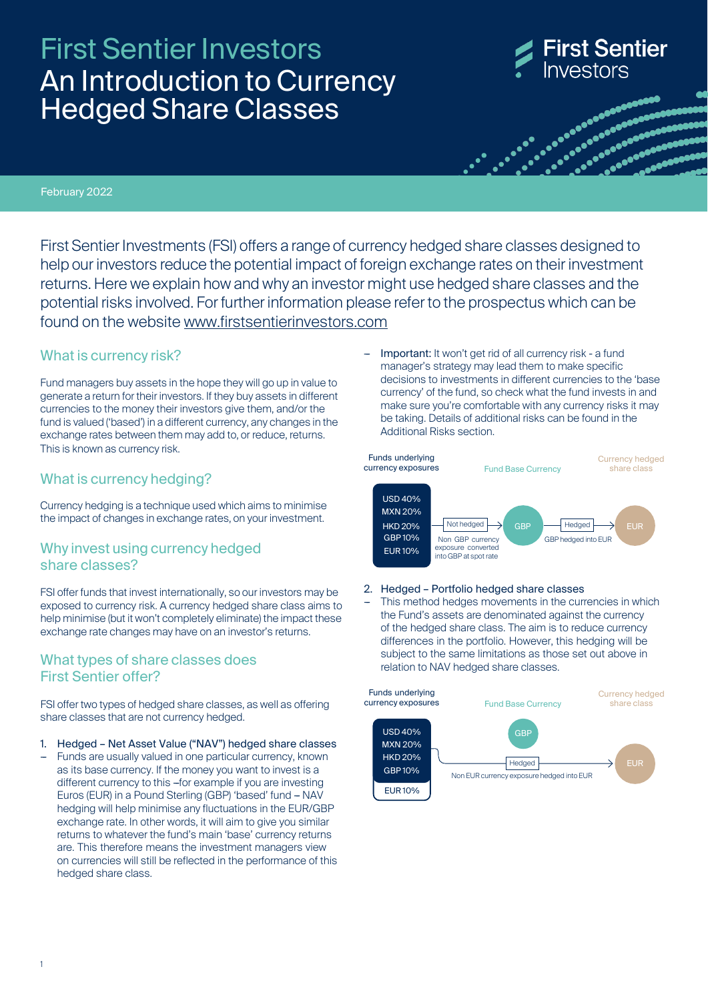# Hedged Share Classes An Introduction to Currency First Sentier Investors



es a consegue<br>Casa de casa de casa<br>Casa de casa de casa de casa de casa de casa de casa de casa de casa de casa de casa de casa de casa de casa d

February 2022

First Sentier Investments (FSI) offers a range of currency hedged share classes designed to help our investors reduce the potential impact of foreign exchange rates on their investment returns. Here we explain how and why an investor might use hedged share classes and the potential risks involved. For further information please refer to the prospectus which can be found on the website [www.firstsentierinvestors.com](http://www.firstsentierinvestors.com/)

### What is currency risk?

Fund managers buy assets in the hope they will go up in value to generate a return for their investors. If they buy assets in different currencies to the money their investors give them, and/or the fund is valued ('based') in a different currency, any changes in the exchange rates between them may add to, or reduce, returns. This is known as currency risk.

### What is currency hedging?

Currency hedging is a technique used which aims to minimise the impact of changes in exchange rates, on your investment.

### Why invest using currency hedged share classes?

FSI offer funds that invest internationally, so our investors may be exposed to currency risk. A currency hedged share class aims to help minimise (but it won't completely eliminate) the impact these exchange rate changes may have on an investor's returns.

### What types of share classes does First Sentier offer?

FSI offer two types of hedged share classes, as well as offering share classes that are not currency hedged.

#### 1. Hedged – Net Asset Value ("NAV") hedged share classes

Funds are usually valued in one particular currency, known as its base currency. If the money you want to invest is a different currency to this --for example if you are investing Euros (EUR) in a Pound Sterling (GBP) 'based' fund -- NAV hedging will help minimise any fluctuations in the EUR/GBP exchange rate. In other words, it will aim to give you similar returns to whatever the fund's main 'base' currency returns are. This therefore means the investment managers view on currencies will still be reflected in the performance of this hedged share class.

Important: It won't get rid of all currency risk - a fund manager's strategy may lead them to make specific decisions to investments in different currencies to the 'base currency' of the fund, so check what the fund invests in and make sure you're comfortable with any currency risks it may be taking. Details of additional risks can be found in the Additional Risks section.



#### 2. Hedged – Portfolio hedged share classes

This method hedges movements in the currencies in which the Fund's assets are denominated against the currency of the hedged share class. The aim is to reduce currency differences in the portfolio. However, this hedging will be subject to the same limitations as those set out above in relation to NAV hedged share classes.

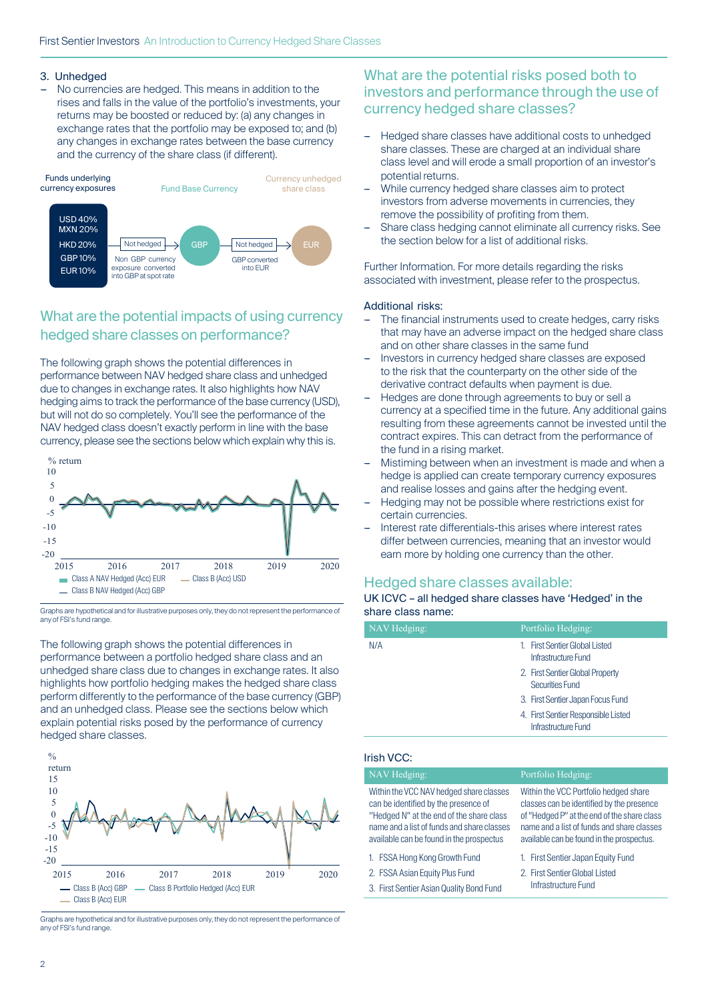### 3. Unhedged

No currencies are hedged. This means in addition to the rises and falls in the value of the portfolio's investments, your returns may be boosted or reduced by: (a) any changes in exchange rates that the portfolio may be exposed to; and (b) any changes in exchange rates between the base currency and the currency of the share class (if different).



# What are the potential impacts of using currency hedged share classes on performance?

The following graph shows the potential differences in performance between NAV hedged share class and unhedged due to changes in exchange rates. It also highlights how NAV hedging aims to track the performance of the base currency (USD), but will not do so completely. You'll see the performance of the NAV hedged class doesn't exactly perform in line with the base currency, please see the sections below which explain why this is.



Graphs are hypothetical and for illustrative purposes only, they do not represent the performance of any of FSI's fund range.

The following graph shows the potential differences in performance between a portfolio hedged share class and an unhedged share class due to changes in exchange rates. It also highlights how portfolio hedging makes the hedged share class perform differently to the performance of the base currency (GBP) and an unhedged class. Please see the sections below which explain potential risks posed by the performance of currency hedged share classes.



Graphs are hypothetical and for illustrative purposes only, they do not represent the performance of any of FSI's fund range.

### What are the potential risks posed both to investors and performance through the use of currency hedged share classes?

- Hedged share classes have additional costs to unhedged share classes. These are charged at an individual share class level and will erode a small proportion of an investor's potential returns.
- While currency hedged share classes aim to protect investors from adverse movements in currencies, they remove the possibility of profiting from them.
- Share class hedging cannot eliminate all currency risks. See EUR the section below for a list of additional risks.

Further Information. For more details regarding the risks associated with investment, please refer to the prospectus.

#### Additional risks:

- The financial instruments used to create hedges, carry risks that may have an adverse impact on the hedged share class and on other share classes in the same fund
- Investors in currency hedged share classes are exposed to the risk that the counterparty on the other side of the derivative contract defaults when payment is due.
- Hedges are done through agreements to buy or sell a currency at a specified time in the future. Any additional gains resulting from these agreements cannot be invested until the contract expires. This can detract from the performance of the fund in a rising market.
- Mistiming between when an investment is made and when a hedge is applied can create temporary currency exposures and realise losses and gains after the hedging event.
- Hedging may not be possible where restrictions exist for certain currencies.
- Interest rate differentials-this arises where interest rates differ between currencies, meaning that an investor would earn more by holding one currency than the other.

## Hedged share classes available:

#### UK ICVC – all hedged share classes have 'Hedged' in the share class name:

| NAV Hedging: | Portfolio Hedging:                                         |
|--------------|------------------------------------------------------------|
| N/A          | <b>First Sentier Global Listed</b><br>Infrastructure Fund  |
|              | 2. First Sentier Global Property<br>Securities Fund        |
|              | 3. First Sentier Japan Focus Fund                          |
|              | 4. First Sentier Responsible Listed<br>Infrastructure Fund |

#### Irish VCC:

| NAV Hedging:                                                                                                                                                                                                          | Portfolio Hedging:                                                                                                                                                                                                           |
|-----------------------------------------------------------------------------------------------------------------------------------------------------------------------------------------------------------------------|------------------------------------------------------------------------------------------------------------------------------------------------------------------------------------------------------------------------------|
| Within the VCC NAV hedged share classes<br>can be identified by the presence of<br>"Hedged N" at the end of the share class<br>name and a list of funds and share classes<br>available can be found in the prospectus | Within the VCC Portfolio hedged share<br>classes can be identified by the presence<br>of "Hedged P" at the end of the share class<br>name and a list of funds and share classes<br>available can be found in the prospectus. |
| 1. FSSA Hong Kong Growth Fund                                                                                                                                                                                         | 1. First Sentier Japan Equity Fund                                                                                                                                                                                           |

- 2. FSSA Asian Equity Plus Fund
- 3. First Sentier Asian Quality Bond Fund

Hedging:

Infrastructure Fund